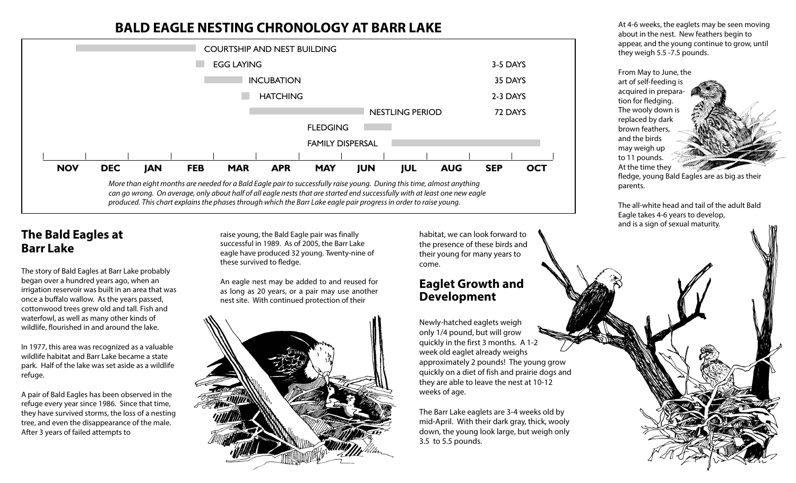## **BALD EAGLE NESTING CHRONOLOGY AT BARR LAKE**



produced. This chart explains the phases through which the Barr Lake eagle pair progress in order to raise young.

### **The Bald Eagles at Barr Lake**

The story of Bald Eagles at Barr Lake probably began over a hundred years ago, when an irrigation reservoir was built in an area that was once a buffalo wallow. As the years passed, cottonwood trees grew old and tall. Fish and waterfowl, as well as many other kinds of wildlife, flourished in and around the lake.

In 1977, this area was recognized as a valuable wildlife habitat and Barr Lake became a state park. Half of the lake was set aside as a wildlife refuge.

A pair of Bald Eagles has been observed in the refuge every year since 1986. Since that time, they have survived storms, the loss of a nesting tree, and even the disappearance of the male. After 3 years of failed attempts to

raise young, the Bald Eagle pair was finally successful in 1989. As of 2005, the Barr Lake eagle have produced 32 young. Twenty-nine of these survived to fledge.

An eagle nest may be added to and reused for as long as 20 years, or a pair may use another nest site. With continued protection of their



habitat, we can look forward to the presence of these birds and their young for many years to come.

#### **Eaglet Growth and Development**

Newly-hatched eaglets weigh only 1/4 pound, but will grow quickly in the first 3 months. A 1-2 week old eaglet already weighs approximately 2 pounds! The young grow quickly on a diet of fish and prairie dogs and they are able to leave the nest at 10-12 weeks of age.

The Barr Lake eaglets are 3-4 weeks old by mid-April. With their dark gray, thick, wooly down, the young look large, but weigh only 3.5 to 5.5 pounds.

At 4-6 weeks, the eaglets may be seen moving about in the nest. New feathers begin to appear, and the young continue to grow, until they weigh 5.5 -7.5 pounds.

From May to June, the art of self-feeding is acquired in preparation for fledging. The wooly down is replaced by dark brown feathers, and the birds may weigh up to 11 pounds. At the time they

fledge, young Bald Eagles are as big as their parents.

The all-white head and tail of the adult Bald Eagle takes 4-6 years to develop, and is a sign of sexual maturity.